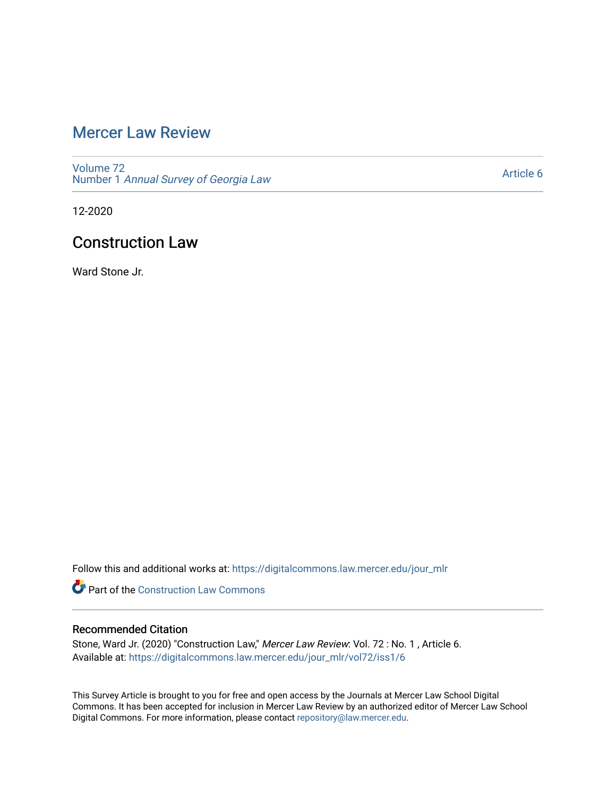# [Mercer Law Review](https://digitalcommons.law.mercer.edu/jour_mlr)

[Volume 72](https://digitalcommons.law.mercer.edu/jour_mlr/vol72) Number 1 [Annual Survey of Georgia Law](https://digitalcommons.law.mercer.edu/jour_mlr/vol72/iss1) 

[Article 6](https://digitalcommons.law.mercer.edu/jour_mlr/vol72/iss1/6) 

12-2020

## Construction Law

Ward Stone Jr.

Follow this and additional works at: [https://digitalcommons.law.mercer.edu/jour\\_mlr](https://digitalcommons.law.mercer.edu/jour_mlr?utm_source=digitalcommons.law.mercer.edu%2Fjour_mlr%2Fvol72%2Fiss1%2F6&utm_medium=PDF&utm_campaign=PDFCoverPages)

**Part of the Construction Law Commons** 

## Recommended Citation

Stone, Ward Jr. (2020) "Construction Law," Mercer Law Review: Vol. 72 : No. 1 , Article 6. Available at: [https://digitalcommons.law.mercer.edu/jour\\_mlr/vol72/iss1/6](https://digitalcommons.law.mercer.edu/jour_mlr/vol72/iss1/6?utm_source=digitalcommons.law.mercer.edu%2Fjour_mlr%2Fvol72%2Fiss1%2F6&utm_medium=PDF&utm_campaign=PDFCoverPages)

This Survey Article is brought to you for free and open access by the Journals at Mercer Law School Digital Commons. It has been accepted for inclusion in Mercer Law Review by an authorized editor of Mercer Law School Digital Commons. For more information, please contact [repository@law.mercer.edu](mailto:repository@law.mercer.edu).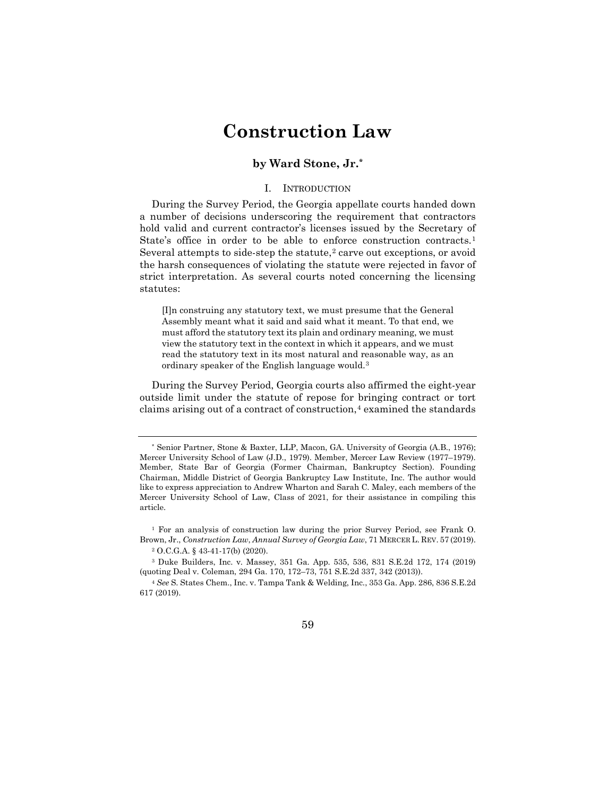# **Construction Law**

## **by Ward Stone, Jr.[\\*](#page-1-0)**

#### I. INTRODUCTION

During the Survey Period, the Georgia appellate courts handed down a number of decisions underscoring the requirement that contractors hold valid and current contractor's licenses issued by the Secretary of State's office in order to be able to enforce construction contracts.<sup>[1](#page-1-1)</sup> Several attempts to side-step the statute,<sup>[2](#page-1-2)</sup> carve out exceptions, or avoid the harsh consequences of violating the statute were rejected in favor of strict interpretation. As several courts noted concerning the licensing statutes:

[I]n construing any statutory text, we must presume that the General Assembly meant what it said and said what it meant. To that end, we must afford the statutory text its plain and ordinary meaning, we must view the statutory text in the context in which it appears, and we must read the statutory text in its most natural and reasonable way, as an ordinary speaker of the English language would.[3](#page-1-3)

During the Survey Period, Georgia courts also affirmed the eight-year outside limit under the statute of repose for bringing contract or tort claims arising out of a contract of construction,<sup>[4](#page-1-4)</sup> examined the standards

<span id="page-1-1"></span><sup>1</sup> For an analysis of construction law during the prior Survey Period, see Frank O. Brown, Jr., *Construction Law*, *Annual Survey of Georgia Law*, 71 MERCER L. REV. 57 (2019). <sup>2</sup> O.C.G.A. § 43-41-17(b) (2020).

<span id="page-1-4"></span><sup>4</sup> *See* S. States Chem., Inc. v. Tampa Tank & Welding, Inc., 353 Ga. App. 286, 836 S.E.2d 617 (2019).



<span id="page-1-0"></span><sup>\*</sup> Senior Partner, Stone & Baxter, LLP, Macon, GA. University of Georgia (A.B., 1976); Mercer University School of Law (J.D., 1979). Member, Mercer Law Review (1977–1979). Member, State Bar of Georgia (Former Chairman, Bankruptcy Section). Founding Chairman, Middle District of Georgia Bankruptcy Law Institute, Inc. The author would like to express appreciation to Andrew Wharton and Sarah C. Maley, each members of the Mercer University School of Law, Class of 2021, for their assistance in compiling this article.

<span id="page-1-3"></span><span id="page-1-2"></span><sup>3</sup> Duke Builders, Inc. v. Massey, 351 Ga. App. 535, 536, 831 S.E.2d 172, 174 (2019) (quoting Deal v. Coleman, 294 Ga. 170, 172–73, 751 S.E.2d 337, 342 (2013)).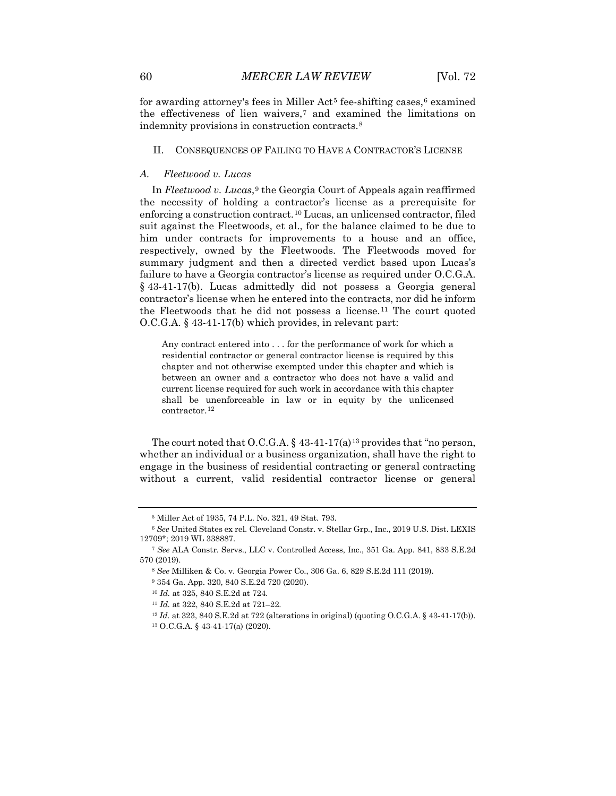for awarding attorney's fees in Miller Act<sup>[5](#page-2-0)</sup> fee-shifting cases, $6$  examined the effectiveness of lien waivers,[7](#page-2-2) and examined the limitations on indemnity provisions in construction contracts.<sup>[8](#page-2-3)</sup>

#### II. CONSEQUENCES OF FAILING TO HAVE A CONTRACTOR'S LICENSE

#### *A. Fleetwood v. Lucas*

In *Fleetwood v. Lucas*,[9](#page-2-4) the Georgia Court of Appeals again reaffirmed the necessity of holding a contractor's license as a prerequisite for enforcing a construction contract.[10](#page-2-5) Lucas, an unlicensed contractor, filed suit against the Fleetwoods, et al., for the balance claimed to be due to him under contracts for improvements to a house and an office, respectively, owned by the Fleetwoods. The Fleetwoods moved for summary judgment and then a directed verdict based upon Lucas's failure to have a Georgia contractor's license as required under O.C.G.A. § 43-41-17(b). Lucas admittedly did not possess a Georgia general contractor's license when he entered into the contracts, nor did he inform the Fleetwoods that he did not possess a license.[11](#page-2-6) The court quoted O.C.G.A. § 43-41-17(b) which provides, in relevant part:

Any contract entered into . . . for the performance of work for which a residential contractor or general contractor license is required by this chapter and not otherwise exempted under this chapter and which is between an owner and a contractor who does not have a valid and current license required for such work in accordance with this chapter shall be unenforceable in law or in equity by the unlicensed contractor.<sup>[12](#page-2-7)</sup>

The court noted that O.C.G.A.  $\S$  43-41-17(a)<sup>[13](#page-2-8)</sup> provides that "no person, whether an individual or a business organization, shall have the right to engage in the business of residential contracting or general contracting without a current, valid residential contractor license or general

<span id="page-2-7"></span><sup>12</sup> *Id.* at 323, 840 S.E.2d at 722 (alterations in original) (quoting O.C.G.A. § 43-41-17(b)).

<sup>5</sup> Miller Act of 1935, 74 P.L. No. 321, 49 Stat. 793.

<span id="page-2-1"></span><span id="page-2-0"></span><sup>6</sup> *See* United States ex rel. Cleveland Constr. v. Stellar Grp., Inc., 2019 U.S. Dist. LEXIS 12709\*; 2019 WL 338887.

<span id="page-2-6"></span><span id="page-2-5"></span><span id="page-2-4"></span><span id="page-2-3"></span><span id="page-2-2"></span><sup>7</sup> *See* ALA Constr. Servs., LLC v. Controlled Access, Inc., 351 Ga. App. 841, 833 S.E.2d 570 (2019).

<sup>8</sup> *See* Milliken & Co. v. Georgia Power Co., 306 Ga. 6, 829 S.E.2d 111 (2019).

<sup>9</sup> 354 Ga. App. 320, 840 S.E.2d 720 (2020).

<sup>10</sup> *Id.* at 325, 840 S.E.2d at 724.

<sup>11</sup> *Id.* at 322, 840 S.E.2d at 721–22.

<span id="page-2-8"></span><sup>13</sup> O.C.G.A. § 43-41-17(a) (2020).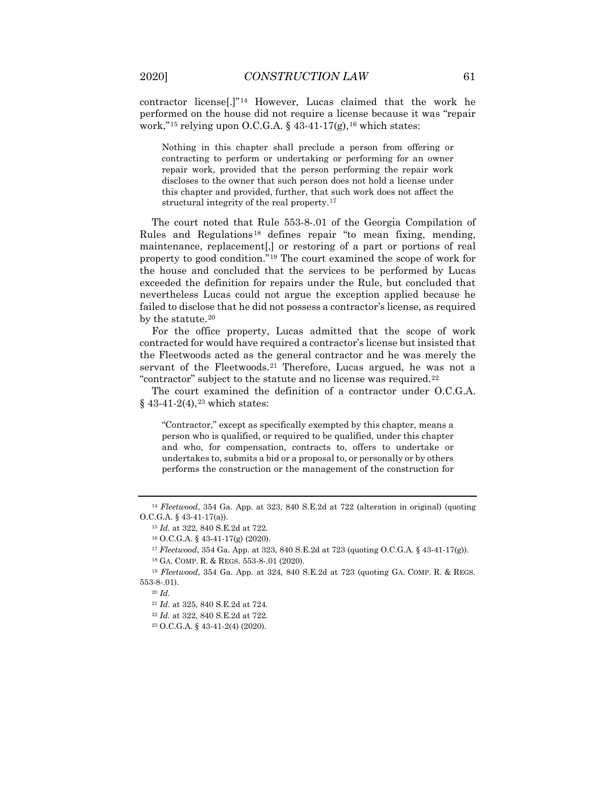contractor license[.]"[14](#page-3-0) However, Lucas claimed that the work he performed on the house did not require a license because it was "repair work,"<sup>[15](#page-3-1)</sup> relying upon O.C.G.A. § 43-41-17(g),<sup>[16](#page-3-2)</sup> which states:

Nothing in this chapter shall preclude a person from offering or contracting to perform or undertaking or performing for an owner repair work, provided that the person performing the repair work discloses to the owner that such person does not hold a license under this chapter and provided, further, that such work does not affect the structural integrity of the real property.<sup>[17](#page-3-3)</sup>

The court noted that Rule 553-8-.01 of the Georgia Compilation of Rules and Regulations<sup>[18](#page-3-4)</sup> defines repair "to mean fixing, mending, maintenance, replacement[,] or restoring of a part or portions of real property to good condition."[19](#page-3-5) The court examined the scope of work for the house and concluded that the services to be performed by Lucas exceeded the definition for repairs under the Rule, but concluded that nevertheless Lucas could not argue the exception applied because he failed to disclose that he did not possess a contractor's license, as required by the statute.<sup>[20](#page-3-6)</sup>

For the office property, Lucas admitted that the scope of work contracted for would have required a contractor's license but insisted that the Fleetwoods acted as the general contractor and he was merely the servant of the Fleetwoods.<sup>[21](#page-3-7)</sup> Therefore, Lucas argued, he was not a "contractor" subject to the statute and no license was required.[22](#page-3-8)

The court examined the definition of a contractor under O.C.G.A.  $§$  43-41-2(4),<sup>[23](#page-3-9)</sup> which states:

"Contractor," except as specifically exempted by this chapter, means a person who is qualified, or required to be qualified, under this chapter and who, for compensation, contracts to, offers to undertake or undertakes to, submits a bid or a proposal to, or personally or by others performs the construction or the management of the construction for

<span id="page-3-2"></span><span id="page-3-1"></span><span id="page-3-0"></span><sup>14</sup> *Fleetwood*, 354 Ga. App. at 323, 840 S.E.2d at 722 (alteration in original) (quoting O.C.G.A. § 43-41-17(a)).

<sup>15</sup> *Id.* at 322, 840 S.E.2d at 722.

<sup>16</sup> O.C.G.A. § 43-41-17(g) (2020).

<sup>17</sup> *Fleetwood*, 354 Ga. App. at 323, 840 S.E.2d at 723 (quoting O.C.G.A. § 43-41-17(g)).

<sup>18</sup> GA. COMP. R. & REGS. 553-8-.01 (2020).

<span id="page-3-9"></span><span id="page-3-8"></span><span id="page-3-7"></span><span id="page-3-6"></span><span id="page-3-5"></span><span id="page-3-4"></span><span id="page-3-3"></span><sup>19</sup> *Fleetwood*, 354 Ga. App. at 324, 840 S.E.2d at 723 (quoting GA. COMP. R. & REGS. 553-8-.01).

<sup>20</sup> *Id.*

<sup>21</sup> *Id.* at 325, 840 S.E.2d at 724.

<sup>22</sup> *Id.* at 322, 840 S.E.2d at 722.

<sup>23</sup> O.C.G.A. § 43-41-2(4) (2020).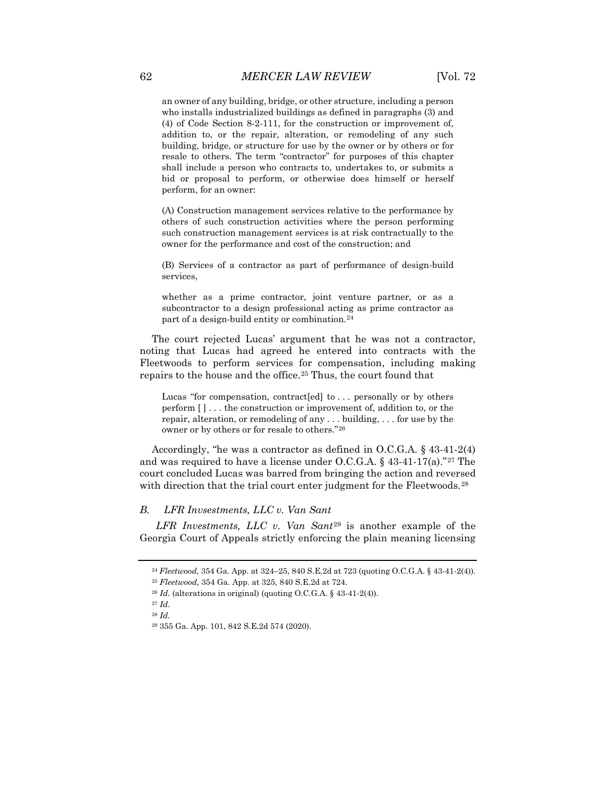an owner of any building, bridge, or other structure, including a person who installs industrialized buildings as defined in paragraphs (3) and (4) of Code Section 8-2-111, for the construction or improvement of, addition to, or the repair, alteration, or remodeling of any such building, bridge, or structure for use by the owner or by others or for resale to others. The term "contractor" for purposes of this chapter shall include a person who contracts to, undertakes to, or submits a bid or proposal to perform, or otherwise does himself or herself perform, for an owner:

(A) Construction management services relative to the performance by others of such construction activities where the person performing such construction management services is at risk contractually to the owner for the performance and cost of the construction; and

(B) Services of a contractor as part of performance of design-build services,

whether as a prime contractor, joint venture partner, or as a subcontractor to a design professional acting as prime contractor as part of a design-build entity or combination.[24](#page-4-0)

The court rejected Lucas' argument that he was not a contractor, noting that Lucas had agreed he entered into contracts with the Fleetwoods to perform services for compensation, including making repairs to the house and the office.[25](#page-4-1) Thus, the court found that

Lucas "for compensation, contract[ed] to ... personally or by others perform [ ] . . . the construction or improvement of, addition to, or the repair, alteration, or remodeling of any . . . building, . . . for use by the owner or by others or for resale to others."[26](#page-4-2)

Accordingly, "he was a contractor as defined in O.C.G.A. § 43-41-2(4) and was required to have a license under O.C.G.A.  $\S$  43-41-17(a).<sup>"[27](#page-4-3)</sup> The court concluded Lucas was barred from bringing the action and reversed with direction that the trial court enter judgment for the Fleetwoods.<sup>[28](#page-4-4)</sup>

#### *B. LFR Invsestments, LLC v. Van Sant*

<span id="page-4-0"></span>*LFR Investments, LLC v. Van Sant*[29](#page-4-5) is another example of the Georgia Court of Appeals strictly enforcing the plain meaning licensing

<sup>24</sup> *Fleetwood*, 354 Ga. App. at 324–25, 840 S.E.2d at 723 (quoting O.C.G.A. § 43-41-2(4)).

<sup>25</sup> *Fleetwood,* 354 Ga. App. at 325, 840 S.E.2d at 724.

<span id="page-4-3"></span><span id="page-4-2"></span><span id="page-4-1"></span><sup>26</sup> *Id.* (alterations in original) (quoting O.C.G.A. § 43-41-2(4)).

<sup>27</sup> *Id.*

<span id="page-4-5"></span><span id="page-4-4"></span><sup>28</sup> *Id.*

<sup>29</sup> 355 Ga. App. 101, 842 S.E.2d 574 (2020).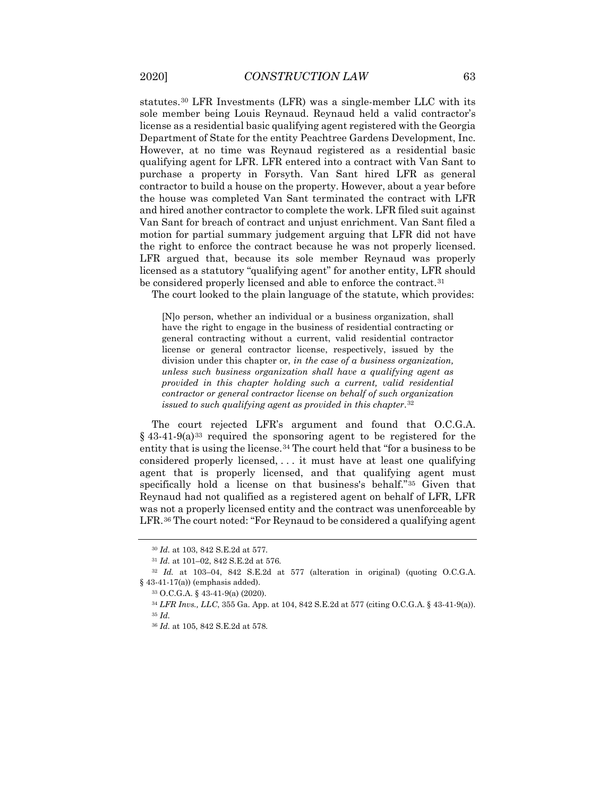statutes.[30](#page-5-0) LFR Investments (LFR) was a single-member LLC with its sole member being Louis Reynaud. Reynaud held a valid contractor's license as a residential basic qualifying agent registered with the Georgia Department of State for the entity Peachtree Gardens Development, Inc. However, at no time was Reynaud registered as a residential basic qualifying agent for LFR. LFR entered into a contract with Van Sant to purchase a property in Forsyth. Van Sant hired LFR as general contractor to build a house on the property. However, about a year before the house was completed Van Sant terminated the contract with LFR and hired another contractor to complete the work. LFR filed suit against Van Sant for breach of contract and unjust enrichment. Van Sant filed a motion for partial summary judgement arguing that LFR did not have the right to enforce the contract because he was not properly licensed. LFR argued that, because its sole member Reynaud was properly licensed as a statutory "qualifying agent" for another entity, LFR should be considered properly licensed and able to enforce the contract.<sup>[31](#page-5-1)</sup>

The court looked to the plain language of the statute, which provides:

[N]o person, whether an individual or a business organization, shall have the right to engage in the business of residential contracting or general contracting without a current, valid residential contractor license or general contractor license, respectively, issued by the division under this chapter or, *in the case of a business organization, unless such business organization shall have a qualifying agent as provided in this chapter holding such a current, valid residential contractor or general contractor license on behalf of such organization issued to such qualifying agent as provided in this chapter*.[32](#page-5-2)

The court rejected LFR's argument and found that O.C.G.A.  $§$  43-41-9(a)<sup>[33](#page-5-3)</sup> required the sponsoring agent to be registered for the entity that is using the license.<sup>[34](#page-5-4)</sup> The court held that "for a business to be considered properly licensed, . . . it must have at least one qualifying agent that is properly licensed, and that qualifying agent must specifically hold a license on that business's behalf."[35](#page-5-5) Given that Reynaud had not qualified as a registered agent on behalf of LFR, LFR was not a properly licensed entity and the contract was unenforceable by LFR.<sup>[36](#page-5-6)</sup> The court noted: "For Reynaud to be considered a qualifying agent

<sup>30</sup> *Id.* at 103, 842 S.E.2d at 577.

<sup>31</sup> *Id.* at 101–02, 842 S.E.2d at 576.

<span id="page-5-6"></span><span id="page-5-5"></span><span id="page-5-4"></span><span id="page-5-3"></span><span id="page-5-2"></span><span id="page-5-1"></span><span id="page-5-0"></span><sup>32</sup> *Id.* at 103–04, 842 S.E.2d at 577 (alteration in original) (quoting O.C.G.A. § 43-41-17(a)) (emphasis added).

<sup>33</sup> O.C.G.A. § 43-41-9(a) (2020).

<sup>34</sup> *LFR Invs., LLC*, 355 Ga. App. at 104, 842 S.E.2d at 577 (citing O.C.G.A. § 43-41-9(a)). <sup>35</sup> *Id.*

<sup>36</sup> *Id.* at 105, 842 S.E.2d at 578.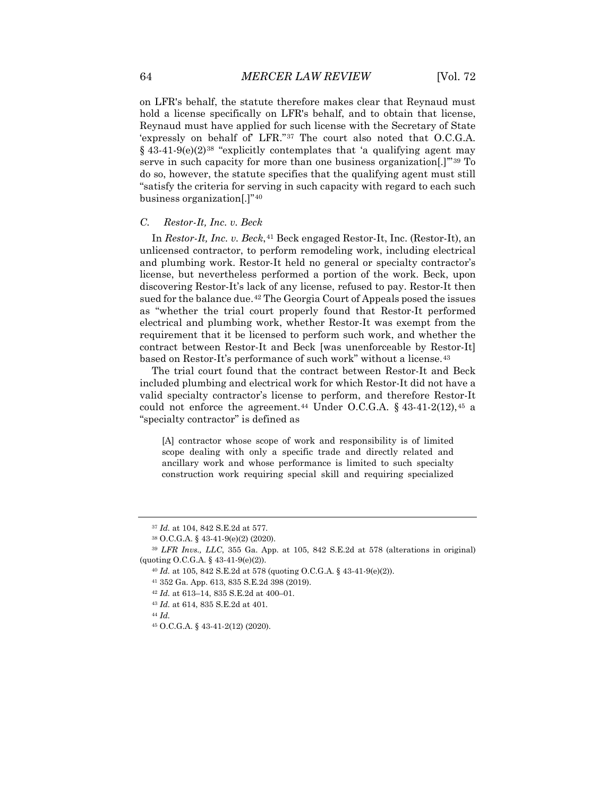on LFR's behalf, the statute therefore makes clear that Reynaud must hold a license specifically on LFR's behalf, and to obtain that license, Reynaud must have applied for such license with the Secretary of State 'expressly on behalf of' LFR."[37](#page-6-0) The court also noted that O.C.G.A.  $§$  43-41-9(e)(2)<sup>[38](#page-6-1)</sup> "explicitly contemplates that 'a qualifying agent may serve in such capacity for more than one business organization[.]'"[39](#page-6-2) To do so, however, the statute specifies that the qualifying agent must still "satisfy the criteria for serving in such capacity with regard to each such business organization[.]"[40](#page-6-3)

#### *C. Restor-It, Inc. v. Beck*

In *Restor-It, Inc. v. Beck*, <sup>[41](#page-6-4)</sup> Beck engaged Restor-It, Inc. (Restor-It), an unlicensed contractor, to perform remodeling work, including electrical and plumbing work. Restor-It held no general or specialty contractor's license, but nevertheless performed a portion of the work. Beck, upon discovering Restor-It's lack of any license, refused to pay. Restor-It then sued for the balance due.<sup>[42](#page-6-5)</sup> The Georgia Court of Appeals posed the issues as "whether the trial court properly found that Restor-It performed electrical and plumbing work, whether Restor-It was exempt from the requirement that it be licensed to perform such work, and whether the contract between Restor-It and Beck [was unenforceable by Restor-It] based on Restor-It's performance of such work" without a license.<sup>[43](#page-6-6)</sup>

The trial court found that the contract between Restor-It and Beck included plumbing and electrical work for which Restor-It did not have a valid specialty contractor's license to perform, and therefore Restor-It could not enforce the agreement.<sup>[44](#page-6-7)</sup> Under O.C.G.A.  $\S$  43-41-2(12), <sup>[45](#page-6-8)</sup> a "specialty contractor" is defined as

[A] contractor whose scope of work and responsibility is of limited scope dealing with only a specific trade and directly related and ancillary work and whose performance is limited to such specialty construction work requiring special skill and requiring specialized

- <sup>43</sup> *Id.* at 614, 835 S.E.2d at 401.
- <span id="page-6-7"></span><sup>44</sup> *Id.*

<sup>37</sup> *Id.* at 104, 842 S.E.2d at 577.

<sup>38</sup> O.C.G.A. § 43-41-9(e)(2) (2020).

<span id="page-6-6"></span><span id="page-6-5"></span><span id="page-6-4"></span><span id="page-6-3"></span><span id="page-6-2"></span><span id="page-6-1"></span><span id="page-6-0"></span><sup>39</sup> *LFR Invs., LLC*, 355 Ga. App. at 105, 842 S.E.2d at 578 (alterations in original) (quoting O.C.G.A. § 43-41-9(e)(2)).

<sup>40</sup> *Id.* at 105, 842 S.E.2d at 578 (quoting O.C.G.A. § 43-41-9(e)(2)).

<sup>41</sup> 352 Ga. App. 613, 835 S.E.2d 398 (2019).

<sup>42</sup> *Id.* at 613–14, 835 S.E.2d at 400–01.

<span id="page-6-8"></span><sup>45</sup> O.C.G.A. § 43-41-2(12) (2020).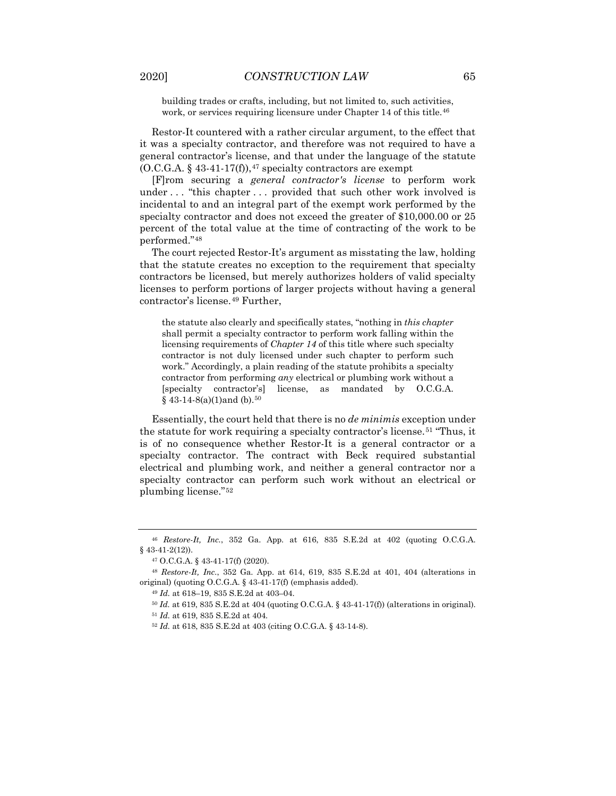building trades or crafts, including, but not limited to, such activities, work, or services requiring licensure under Chapter 14 of this title.<sup>[46](#page-7-0)</sup>

Restor-It countered with a rather circular argument, to the effect that it was a specialty contractor, and therefore was not required to have a general contractor's license, and that under the language of the statute  $(0.C.G.A. § 43-41-17(f)),$ <sup>[47](#page-7-1)</sup> specialty contractors are exempt

[F]rom securing a *general contractor's license* to perform work under . . . "this chapter . . . provided that such other work involved is incidental to and an integral part of the exempt work performed by the specialty contractor and does not exceed the greater of \$10,000.00 or 25 percent of the total value at the time of contracting of the work to be performed."[48](#page-7-2)

The court rejected Restor-It's argument as misstating the law, holding that the statute creates no exception to the requirement that specialty contractors be licensed, but merely authorizes holders of valid specialty licenses to perform portions of larger projects without having a general contractor's license.[49](#page-7-3) Further,

the statute also clearly and specifically states, "nothing in *this chapter* shall permit a specialty contractor to perform work falling within the licensing requirements of *Chapter 14* of this title where such specialty contractor is not duly licensed under such chapter to perform such work." Accordingly, a plain reading of the statute prohibits a specialty contractor from performing *any* electrical or plumbing work without a [specialty contractor's] license, as mandated by O.C.G.A.  $§$  43-14-8(a)(1)and (b).<sup>[50](#page-7-4)</sup>

Essentially, the court held that there is no *de minimis* exception under the statute for work requiring a specialty contractor's license.<sup>[51](#page-7-5)</sup> "Thus, it is of no consequence whether Restor-It is a general contractor or a specialty contractor. The contract with Beck required substantial electrical and plumbing work, and neither a general contractor nor a specialty contractor can perform such work without an electrical or plumbing license."[52](#page-7-6)

<span id="page-7-0"></span><sup>46</sup> *Restore-It, Inc.*, 352 Ga. App. at 616, 835 S.E.2d at 402 (quoting O.C.G.A. § 43-41-2(12)).

<sup>47</sup> O.C.G.A. § 43-41-17(f) (2020).

<span id="page-7-6"></span><span id="page-7-5"></span><span id="page-7-4"></span><span id="page-7-3"></span><span id="page-7-2"></span><span id="page-7-1"></span><sup>48</sup> *Restore-It, Inc.*, 352 Ga. App. at 614, 619, 835 S.E.2d at 401, 404 (alterations in original) (quoting O.C.G.A. § 43-41-17(f) (emphasis added).

<sup>49</sup> *Id.* at 618–19, 835 S.E.2d at 403–04.

<sup>50</sup> *Id.* at 619, 835 S.E.2d at 404 (quoting O.C.G.A. § 43-41-17(f)) (alterations in original).

<sup>51</sup> *Id.* at 619, 835 S.E.2d at 404.

<sup>52</sup> *Id.* at 618, 835 S.E.2d at 403 (citing O.C.G.A. § 43-14-8).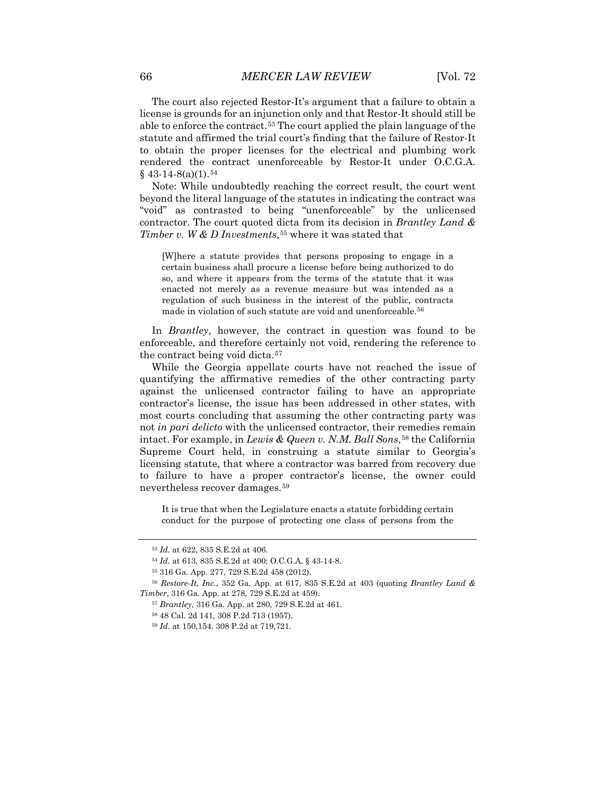The court also rejected Restor-It's argument that a failure to obtain a license is grounds for an injunction only and that Restor-It should still be able to enforce the contract.[53](#page-8-0) The court applied the plain language of the statute and affirmed the trial court's finding that the failure of Restor-It to obtain the proper licenses for the electrical and plumbing work rendered the contract unenforceable by Restor-It under O.C.G.A.  $§$  43-14-8(a)(1).<sup>[54](#page-8-1)</sup>

Note: While undoubtedly reaching the correct result, the court went beyond the literal language of the statutes in indicating the contract was "void" as contrasted to being "unenforceable" by the unlicensed contractor. The court quoted dicta from its decision in *Brantley Land & Timber v. W & D Investments*,<sup>[55](#page-8-2)</sup> where it was stated that

[W]here a statute provides that persons proposing to engage in a certain business shall procure a license before being authorized to do so, and where it appears from the terms of the statute that it was enacted not merely as a revenue measure but was intended as a regulation of such business in the interest of the public, contracts made in violation of such statute are void and unenforceable.<sup>[56](#page-8-3)</sup>

In *Brantley*, however, the contract in question was found to be enforceable, and therefore certainly not void, rendering the reference to the contract being void dicta.<sup>[57](#page-8-4)</sup>

While the Georgia appellate courts have not reached the issue of quantifying the affirmative remedies of the other contracting party against the unlicensed contractor failing to have an appropriate contractor's license, the issue has been addressed in other states, with most courts concluding that assuming the other contracting party was not *in pari delicto* with the unlicensed contractor, their remedies remain intact. For example, in *Lewis & Queen v. N.M. Ball Sons*,[58](#page-8-5) the California Supreme Court held, in construing a statute similar to Georgia's licensing statute, that where a contractor was barred from recovery due to failure to have a proper contractor's license, the owner could nevertheless recover damages.[59](#page-8-6)

It is true that when the Legislature enacts a statute forbidding certain conduct for the purpose of protecting one class of persons from the

<sup>53</sup> *Id.* at 622, 835 S.E.2d at 406.

<sup>54</sup> *Id.* at 613, 835 S.E.2d at 400; O.C.G.A. § 43-14-8.

<sup>55</sup> 316 Ga. App. 277, 729 S.E.2d 458 (2012).

<span id="page-8-6"></span><span id="page-8-5"></span><span id="page-8-4"></span><span id="page-8-3"></span><span id="page-8-2"></span><span id="page-8-1"></span><span id="page-8-0"></span><sup>56</sup> *Restore-It, Inc.*, 352 Ga. App. at 617, 835 S.E.2d at 403 (quoting *Brantley Land & Timber*, 316 Ga. App. at 278, 729 S.E.2d at 459).

<sup>57</sup> *Brantley*, 316 Ga. App. at 280, 729 S.E.2d at 461.

<sup>58</sup> 48 Cal. 2d 141, 308 P.2d 713 (1957).

<sup>59</sup> *Id.* at 150,154, 308 P.2d at 719,721.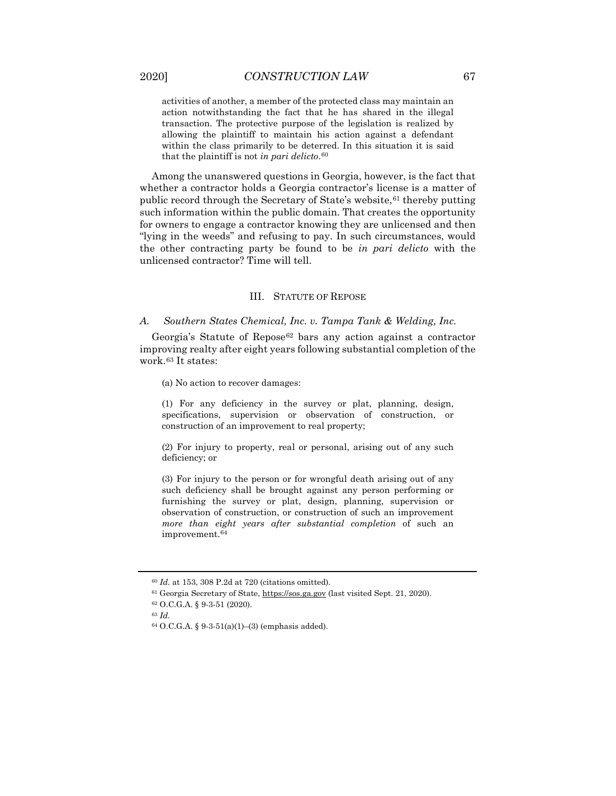activities of another, a member of the protected class may maintain an action notwithstanding the fact that he has shared in the illegal transaction. The protective purpose of the legislation is realized by allowing the plaintiff to maintain his action against a defendant within the class primarily to be deterred. In this situation it is said that the plaintiff is not *in pari delicto*.[60](#page-9-0)

Among the unanswered questions in Georgia, however, is the fact that whether a contractor holds a Georgia contractor's license is a matter of public record through the Secretary of State's website, <sup>[61](#page-9-1)</sup> thereby putting such information within the public domain. That creates the opportunity for owners to engage a contractor knowing they are unlicensed and then "lying in the weeds" and refusing to pay. In such circumstances, would the other contracting party be found to be *in pari delicto* with the unlicensed contractor? Time will tell.

#### III. STATUTE OF REPOSE

#### *A. Southern States Chemical, Inc. v. Tampa Tank & Welding, Inc.*

Georgia's Statute of Repose<sup>[62](#page-9-2)</sup> bars any action against a contractor improving realty after eight years following substantial completion of the work.[63](#page-9-3) It states:

(a) No action to recover damages:

(1) For any deficiency in the survey or plat, planning, design, specifications, supervision or observation of construction, or construction of an improvement to real property;

(2) For injury to property, real or personal, arising out of any such deficiency; or

(3) For injury to the person or for wrongful death arising out of any such deficiency shall be brought against any person performing or furnishing the survey or plat, design, planning, supervision or observation of construction, or construction of such an improvement *more than eight years after substantial completion* of such an improvement.[64](#page-9-4)

<span id="page-9-4"></span><span id="page-9-3"></span><span id="page-9-2"></span><sup>63</sup> *Id.*

<span id="page-9-0"></span><sup>60</sup> *Id.* at 153, 308 P.2d at 720 (citations omitted).

<span id="page-9-1"></span><sup>61</sup> Georgia Secretary of State, [https://sos.ga.gov](https://sos.ga.gov/) (last visited Sept. 21, 2020).

<sup>62</sup> O.C.G.A. § 9-3-51 (2020).

 $64$  O.C.G.A. § 9-3-51(a)(1)–(3) (emphasis added).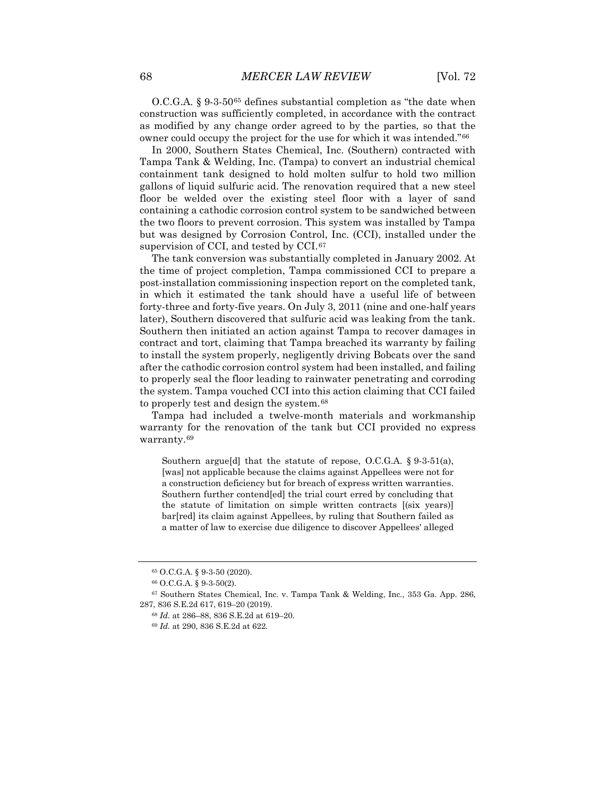O.C.G.A. § 9-3-50[65](#page-10-0) defines substantial completion as "the date when construction was sufficiently completed, in accordance with the contract as modified by any change order agreed to by the parties, so that the owner could occupy the project for the use for which it was intended."[66](#page-10-1)

In 2000, Southern States Chemical, Inc. (Southern) contracted with Tampa Tank & Welding, Inc. (Tampa) to convert an industrial chemical containment tank designed to hold molten sulfur to hold two million gallons of liquid sulfuric acid. The renovation required that a new steel floor be welded over the existing steel floor with a layer of sand containing a cathodic corrosion control system to be sandwiched between the two floors to prevent corrosion. This system was installed by Tampa but was designed by Corrosion Control, Inc. (CCI), installed under the supervision of CCI, and tested by CCI.<sup>[67](#page-10-2)</sup>

The tank conversion was substantially completed in January 2002. At the time of project completion, Tampa commissioned CCI to prepare a post-installation commissioning inspection report on the completed tank, in which it estimated the tank should have a useful life of between forty-three and forty-five years. On July 3, 2011 (nine and one-half years later), Southern discovered that sulfuric acid was leaking from the tank. Southern then initiated an action against Tampa to recover damages in contract and tort, claiming that Tampa breached its warranty by failing to install the system properly, negligently driving Bobcats over the sand after the cathodic corrosion control system had been installed, and failing to properly seal the floor leading to rainwater penetrating and corroding the system. Tampa vouched CCI into this action claiming that CCI failed to properly test and design the system.[68](#page-10-3)

Tampa had included a twelve-month materials and workmanship warranty for the renovation of the tank but CCI provided no express warranty.[69](#page-10-4)

Southern argue[d] that the statute of repose, O.C.G.A. § 9-3-51(a), [was] not applicable because the claims against Appellees were not for a construction deficiency but for breach of express written warranties. Southern further contend[ed] the trial court erred by concluding that the statute of limitation on simple written contracts [(six years)] bar[red] its claim against Appellees, by ruling that Southern failed as a matter of law to exercise due diligence to discover Appellees' alleged

<sup>65</sup> O.C.G.A. § 9-3-50 (2020).

<sup>66</sup> O.C.G.A. § 9-3-50(2).

<span id="page-10-4"></span><span id="page-10-3"></span><span id="page-10-2"></span><span id="page-10-1"></span><span id="page-10-0"></span><sup>67</sup> Southern States Chemical, Inc. v. Tampa Tank & Welding, Inc*.*, 353 Ga. App. 286, 287, 836 S.E.2d 617, 619–20 (2019).

<sup>68</sup> *Id.* at 286–88, 836 S.E.2d at 619–20.

<sup>69</sup> *Id.* at 290, 836 S.E.2d at 622.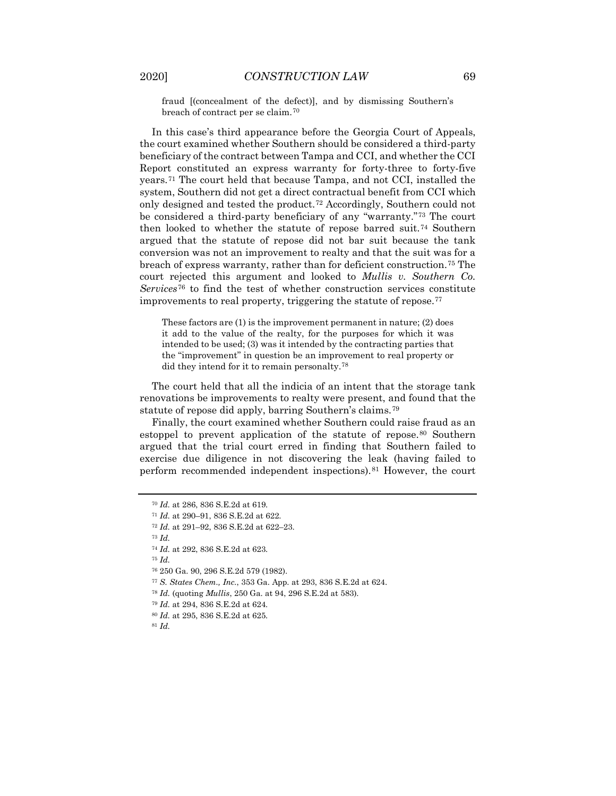fraud [(concealment of the defect)], and by dismissing Southern's breach of contract per se claim.[70](#page-11-0)

In this case's third appearance before the Georgia Court of Appeals, the court examined whether Southern should be considered a third-party beneficiary of the contract between Tampa and CCI, and whether the CCI Report constituted an express warranty for forty-three to forty-five years.[71](#page-11-1) The court held that because Tampa, and not CCI, installed the system, Southern did not get a direct contractual benefit from CCI which only designed and tested the product.<sup>[72](#page-11-2)</sup> Accordingly, Southern could not be considered a third-party beneficiary of any "warranty."[73](#page-11-3) The court then looked to whether the statute of repose barred suit.[74](#page-11-4) Southern argued that the statute of repose did not bar suit because the tank conversion was not an improvement to realty and that the suit was for a breach of express warranty, rather than for deficient construction.[75](#page-11-5) The court rejected this argument and looked to *Mullis v. Southern Co. Services*[76](#page-11-6) to find the test of whether construction services constitute improvements to real property, triggering the statute of repose.<sup>[77](#page-11-7)</sup>

These factors are (1) is the improvement permanent in nature; (2) does it add to the value of the realty, for the purposes for which it was intended to be used; (3) was it intended by the contracting parties that the "improvement" in question be an improvement to real property or did they intend for it to remain personalty.[78](#page-11-8)

The court held that all the indicia of an intent that the storage tank renovations be improvements to realty were present, and found that the statute of repose did apply, barring Southern's claims.[79](#page-11-9)

Finally, the court examined whether Southern could raise fraud as an estoppel to prevent application of the statute of repose.[80](#page-11-10) Southern argued that the trial court erred in finding that Southern failed to exercise due diligence in not discovering the leak (having failed to perform recommended independent inspections).[81](#page-11-11) However, the court

<span id="page-11-3"></span><sup>73</sup> *Id.*

<span id="page-11-5"></span><sup>75</sup> *Id.*

<sup>70</sup> *Id.* at 286, 836 S.E.2d at 619.

<span id="page-11-1"></span><span id="page-11-0"></span><sup>71</sup> *Id.* at 290–91, 836 S.E.2d at 622.

<span id="page-11-2"></span><sup>72</sup> *Id.* at 291–92, 836 S.E.2d at 622–23.

<span id="page-11-4"></span><sup>74</sup> *Id.* at 292, 836 S.E.2d at 623.

<span id="page-11-6"></span><sup>76</sup> 250 Ga. 90, 296 S.E.2d 579 (1982).

<span id="page-11-7"></span><sup>77</sup> *S. States Chem., Inc.*, 353 Ga. App. at 293, 836 S.E.2d at 624.

<span id="page-11-8"></span><sup>78</sup> *Id.* (quoting *Mullis*, 250 Ga. at 94, 296 S.E.2d at 583).

<span id="page-11-9"></span><sup>79</sup> *Id.* at 294, 836 S.E.2d at 624.

<sup>80</sup> *Id.* at 295, 836 S.E.2d at 625.

<span id="page-11-11"></span><span id="page-11-10"></span><sup>81</sup> *Id.*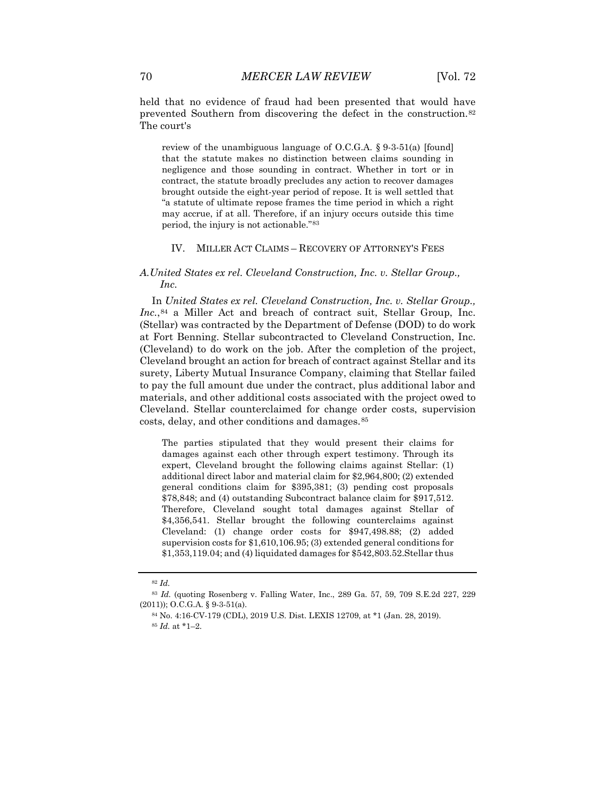held that no evidence of fraud had been presented that would have prevented Southern from discovering the defect in the construction.<sup>[82](#page-12-0)</sup> The court's

review of the unambiguous language of O.C.G.A. § 9-3-51(a) [found] that the statute makes no distinction between claims sounding in negligence and those sounding in contract. Whether in tort or in contract, the statute broadly precludes any action to recover damages brought outside the eight-year period of repose. It is well settled that "a statute of ultimate repose frames the time period in which a right may accrue, if at all. Therefore, if an injury occurs outside this time period, the injury is not actionable."[83](#page-12-1)

#### IV. MILLER ACT CLAIMS – RECOVERY OF ATTORNEY'S FEES

### *A.United States ex rel. Cleveland Construction, Inc. v. Stellar Group., Inc.*

In *United States ex rel. Cleveland Construction, Inc. v. Stellar Group.,*  Inc.,<sup>[84](#page-12-2)</sup> a Miller Act and breach of contract suit, Stellar Group, Inc. (Stellar) was contracted by the Department of Defense (DOD) to do work at Fort Benning. Stellar subcontracted to Cleveland Construction, Inc. (Cleveland) to do work on the job. After the completion of the project, Cleveland brought an action for breach of contract against Stellar and its surety, Liberty Mutual Insurance Company, claiming that Stellar failed to pay the full amount due under the contract, plus additional labor and materials, and other additional costs associated with the project owed to Cleveland. Stellar counterclaimed for change order costs, supervision costs, delay, and other conditions and damages.[85](#page-12-3)

The parties stipulated that they would present their claims for damages against each other through expert testimony. Through its expert, Cleveland brought the following claims against Stellar: (1) additional direct labor and material claim for \$2,964,800; (2) extended general conditions claim for \$395,381; (3) pending cost proposals \$78,848; and (4) outstanding Subcontract balance claim for \$917,512. Therefore, Cleveland sought total damages against Stellar of \$4,356,541. Stellar brought the following counterclaims against Cleveland: (1) change order costs for \$947,498.88; (2) added supervision costs for \$1,610,106.95; (3) extended general conditions for \$1,353,119.04; and (4) liquidated damages for \$542,803.52.Stellar thus

<sup>82</sup> *Id.*

<span id="page-12-3"></span><span id="page-12-2"></span><span id="page-12-1"></span><span id="page-12-0"></span><sup>83</sup> *Id.* (quoting Rosenberg v. Falling Water, Inc., 289 Ga. 57, 59, 709 S.E.2d 227, 229 (2011)); O.C.G.A. § 9-3-51(a).

<sup>84</sup> No. 4:16-CV-179 (CDL), 2019 U.S. Dist. LEXIS 12709, at \*1 (Jan. 28, 2019).

<sup>85</sup> *Id.* at \*1–2.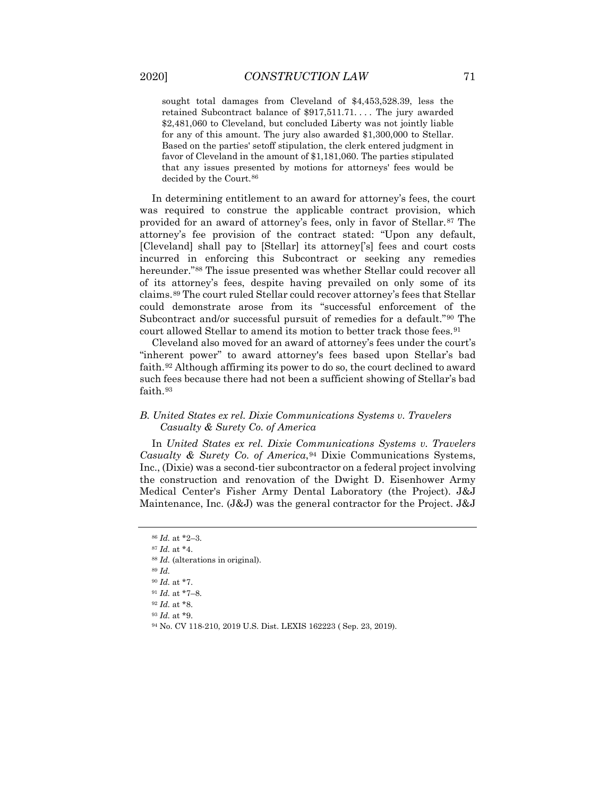sought total damages from Cleveland of \$4,453,528.39, less the retained Subcontract balance of \$917,511.71. . . . The jury awarded \$2,481,060 to Cleveland, but concluded Liberty was not jointly liable for any of this amount. The jury also awarded \$1,300,000 to Stellar. Based on the parties' setoff stipulation, the clerk entered judgment in favor of Cleveland in the amount of \$1,181,060. The parties stipulated that any issues presented by motions for attorneys' fees would be decided by the Court.<sup>[86](#page-13-0)</sup>

In determining entitlement to an award for attorney's fees, the court was required to construe the applicable contract provision, which provided for an award of attorney's fees, only in favor of Stellar.[87](#page-13-1) The attorney's fee provision of the contract stated: "Upon any default, [Cleveland] shall pay to [Stellar] its attorney['s] fees and court costs incurred in enforcing this Subcontract or seeking any remedies hereunder."[88](#page-13-2) The issue presented was whether Stellar could recover all of its attorney's fees, despite having prevailed on only some of its claims.[89](#page-13-3) The court ruled Stellar could recover attorney's fees that Stellar could demonstrate arose from its "successful enforcement of the Subcontract and/or successful pursuit of remedies for a default."[90](#page-13-4) The court allowed Stellar to amend its motion to better track those fees.<sup>[91](#page-13-5)</sup>

Cleveland also moved for an award of attorney's fees under the court's "inherent power" to award attorney's fees based upon Stellar's bad faith.[92](#page-13-6) Although affirming its power to do so, the court declined to award such fees because there had not been a sufficient showing of Stellar's bad faith.<sup>[93](#page-13-7)</sup>

#### *B. United States ex rel. Dixie Communications Systems v. Travelers Casualty & Surety Co. of America*

In *United States ex rel. Dixie Communications Systems v. Travelers Casualty & Surety Co. of America*, <sup>[94](#page-13-8)</sup> Dixie Communications Systems, Inc., (Dixie) was a second-tier subcontractor on a federal project involving the construction and renovation of the Dwight D. Eisenhower Army Medical Center's Fisher Army Dental Laboratory (the Project). J&J Maintenance, Inc. (J&J) was the general contractor for the Project. J&J

<sup>86</sup> *Id.* at \*2–3.

<span id="page-13-3"></span><span id="page-13-2"></span><span id="page-13-1"></span><span id="page-13-0"></span><sup>87</sup> *Id.* at \*4.

<sup>88</sup> *Id.* (alterations in original).

<sup>89</sup> *Id.*

<sup>90</sup> *Id.* at \*7.

<span id="page-13-7"></span><span id="page-13-6"></span><span id="page-13-5"></span><span id="page-13-4"></span><sup>91</sup> *Id.* at \*7–8.

<sup>92</sup> *Id.* at \*8.

<sup>93</sup> *Id.* at \*9.

<span id="page-13-8"></span><sup>94</sup> No. CV 118-210, 2019 U.S. Dist. LEXIS 162223 ( Sep. 23, 2019).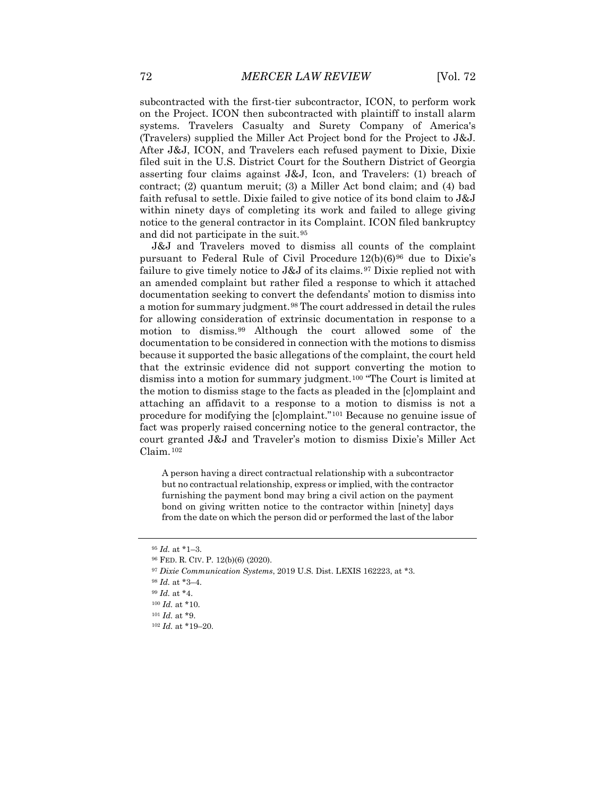subcontracted with the first-tier subcontractor, ICON, to perform work on the Project. ICON then subcontracted with plaintiff to install alarm systems. Travelers Casualty and Surety Company of America's (Travelers) supplied the Miller Act Project bond for the Project to J&J. After J&J, ICON, and Travelers each refused payment to Dixie, Dixie filed suit in the U.S. District Court for the Southern District of Georgia asserting four claims against J&J, Icon, and Travelers: (1) breach of contract; (2) quantum meruit; (3) a Miller Act bond claim; and (4) bad faith refusal to settle. Dixie failed to give notice of its bond claim to J&J within ninety days of completing its work and failed to allege giving notice to the general contractor in its Complaint. ICON filed bankruptcy and did not participate in the suit.[95](#page-14-0)

J&J and Travelers moved to dismiss all counts of the complaint pursuant to Federal Rule of Civil Procedure  $12(b)(6)^{96}$  $12(b)(6)^{96}$  $12(b)(6)^{96}$  due to Dixie's failure to give timely notice to J&J of its claims.<sup>[97](#page-14-2)</sup> Dixie replied not with an amended complaint but rather filed a response to which it attached documentation seeking to convert the defendants' motion to dismiss into a motion for summary judgment.[98](#page-14-3) The court addressed in detail the rules for allowing consideration of extrinsic documentation in response to a motion to dismiss.[99](#page-14-4) Although the court allowed some of the documentation to be considered in connection with the motions to dismiss because it supported the basic allegations of the complaint, the court held that the extrinsic evidence did not support converting the motion to dismiss into a motion for summary judgment.[100](#page-14-5) "The Court is limited at the motion to dismiss stage to the facts as pleaded in the [c]omplaint and attaching an affidavit to a response to a motion to dismiss is not a procedure for modifying the [c]omplaint."[101](#page-14-6) Because no genuine issue of fact was properly raised concerning notice to the general contractor, the court granted J&J and Traveler's motion to dismiss Dixie's Miller Act Claim.[102](#page-14-7)

A person having a direct contractual relationship with a subcontractor but no contractual relationship, express or implied, with the contractor furnishing the payment bond may bring a civil action on the payment bond on giving written notice to the contractor within [ninety] days from the date on which the person did or performed the last of the labor

<span id="page-14-0"></span><sup>95</sup> *Id.* at \*1–3.

<sup>96</sup> FED. R. CIV. P. 12(b)(6) (2020).

<span id="page-14-3"></span><span id="page-14-2"></span><span id="page-14-1"></span><sup>97</sup> *Dixie Communication Systems*, 2019 U.S. Dist. LEXIS 162223, at \*3.

<sup>98</sup> *Id.* at \*3–4.

<span id="page-14-5"></span><span id="page-14-4"></span><sup>99</sup> *Id.* at \*4.

<sup>100</sup> *Id.* at \*10.

<span id="page-14-6"></span><sup>101</sup> *Id.* at \*9.

<span id="page-14-7"></span><sup>102</sup> *Id.* at \*19–20.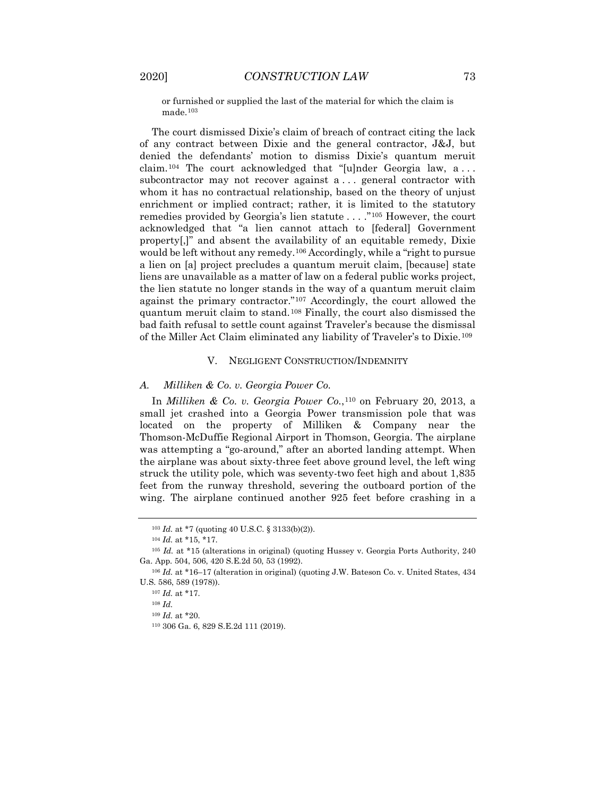or furnished or supplied the last of the material for which the claim is made.[103](#page-15-0)

The court dismissed Dixie's claim of breach of contract citing the lack of any contract between Dixie and the general contractor, J&J, but denied the defendants' motion to dismiss Dixie's quantum meruit claim.[104](#page-15-1) The court acknowledged that "[u]nder Georgia law, a . . . subcontractor may not recover against a . . . general contractor with whom it has no contractual relationship, based on the theory of unjust enrichment or implied contract; rather, it is limited to the statutory remedies provided by Georgia's lien statute . . . ."[105](#page-15-2) However, the court acknowledged that "a lien cannot attach to [federal] Government property[,]" and absent the availability of an equitable remedy, Dixie would be left without any remedy.[106](#page-15-3) Accordingly, while a "right to pursue a lien on [a] project precludes a quantum meruit claim, [because] state liens are unavailable as a matter of law on a federal public works project, the lien statute no longer stands in the way of a quantum meruit claim against the primary contractor."[107](#page-15-4) Accordingly, the court allowed the quantum meruit claim to stand.[108](#page-15-5) Finally, the court also dismissed the bad faith refusal to settle count against Traveler's because the dismissal of the Miller Act Claim eliminated any liability of Traveler's to Dixie.[109](#page-15-6)

#### V. NEGLIGENT CONSTRUCTION/INDEMNITY

#### *A. Milliken & Co. v. Georgia Power Co.*

In *Milliken & Co. v. Georgia Power Co.*,[110](#page-15-7) on February 20, 2013, a small jet crashed into a Georgia Power transmission pole that was located on the property of Milliken & Company near the Thomson-McDuffie Regional Airport in Thomson, Georgia. The airplane was attempting a "go-around," after an aborted landing attempt. When the airplane was about sixty-three feet above ground level, the left wing struck the utility pole, which was seventy-two feet high and about 1,835 feet from the runway threshold, severing the outboard portion of the wing. The airplane continued another 925 feet before crashing in a

<sup>103</sup> *Id.* at \*7 (quoting 40 U.S.C. § 3133(b)(2)).

<sup>104</sup> *Id.* at \*15, \*17.

<span id="page-15-2"></span><span id="page-15-1"></span><span id="page-15-0"></span><sup>&</sup>lt;sup>105</sup> *Id.* at \*15 (alterations in original) (quoting Hussey v. Georgia Ports Authority, 240 Ga. App. 504, 506, 420 S.E.2d 50, 53 (1992).

<span id="page-15-7"></span><span id="page-15-6"></span><span id="page-15-5"></span><span id="page-15-4"></span><span id="page-15-3"></span><sup>106</sup> *Id.* at \*16–17 (alteration in original) (quoting J.W. Bateson Co. v. United States, 434 U.S. 586, 589 (1978)).

 $^{107}$   $Id.$  at  $^\star 17.$ 

<sup>108</sup> *Id.*

<sup>109</sup> *Id.* at \*20.

<sup>110</sup> 306 Ga. 6, 829 S.E.2d 111 (2019).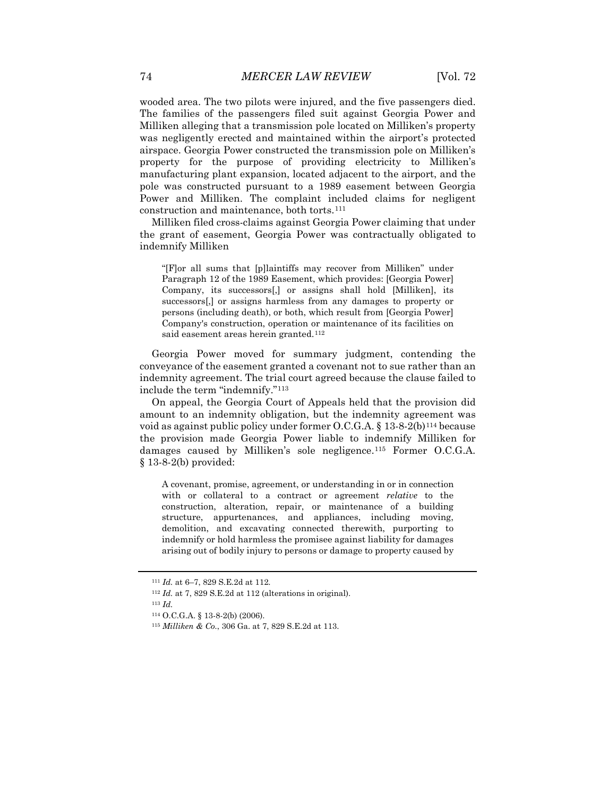wooded area. The two pilots were injured, and the five passengers died. The families of the passengers filed suit against Georgia Power and Milliken alleging that a transmission pole located on Milliken's property was negligently erected and maintained within the airport's protected airspace. Georgia Power constructed the transmission pole on Milliken's property for the purpose of providing electricity to Milliken's manufacturing plant expansion, located adjacent to the airport, and the pole was constructed pursuant to a 1989 easement between Georgia Power and Milliken. The complaint included claims for negligent construction and maintenance, both torts.<sup>[111](#page-16-0)</sup>

Milliken filed cross-claims against Georgia Power claiming that under the grant of easement, Georgia Power was contractually obligated to indemnify Milliken

"[F]or all sums that [p]laintiffs may recover from Milliken" under Paragraph 12 of the 1989 Easement, which provides: [Georgia Power] Company, its successors[,] or assigns shall hold [Milliken], its successors[,] or assigns harmless from any damages to property or persons (including death), or both, which result from [Georgia Power] Company's construction, operation or maintenance of its facilities on said easement areas herein granted.<sup>[112](#page-16-1)</sup>

Georgia Power moved for summary judgment, contending the conveyance of the easement granted a covenant not to sue rather than an indemnity agreement. The trial court agreed because the clause failed to include the term "indemnify."[113](#page-16-2)

On appeal, the Georgia Court of Appeals held that the provision did amount to an indemnity obligation, but the indemnity agreement was void as against public policy under former  $O.C.G.A. \S 13-8-2(b)$ <sup>[114](#page-16-3)</sup> because the provision made Georgia Power liable to indemnify Milliken for damages caused by Milliken's sole negligence.[115](#page-16-4) Former O.C.G.A. § 13-8-2(b) provided:

A covenant, promise, agreement, or understanding in or in connection with or collateral to a contract or agreement *relative* to the construction, alteration, repair, or maintenance of a building structure, appurtenances, and appliances, including moving, demolition, and excavating connected therewith, purporting to indemnify or hold harmless the promisee against liability for damages arising out of bodily injury to persons or damage to property caused by

<span id="page-16-0"></span><sup>111</sup> *Id.* at 6–7, 829 S.E.2d at 112.

<span id="page-16-1"></span><sup>112</sup> *Id.* at 7, 829 S.E.2d at 112 (alterations in original).

<span id="page-16-4"></span><span id="page-16-3"></span><span id="page-16-2"></span><sup>113</sup> *Id.*

<sup>114</sup> O.C.G.A. § 13-8-2(b) (2006).

<sup>115</sup> *Milliken & Co.*, 306 Ga. at 7, 829 S.E.2d at 113.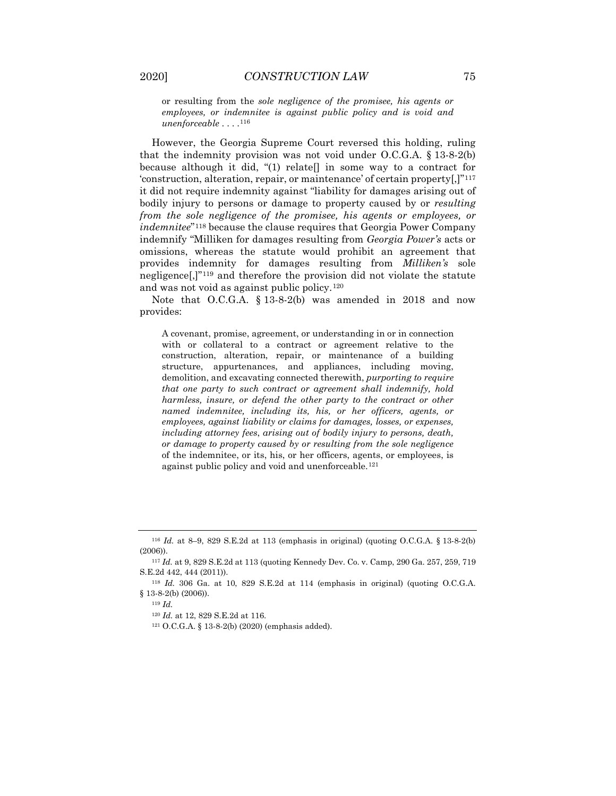or resulting from the *sole negligence of the promisee, his agents or employees, or indemnitee is against public policy and is void and unenforceable* . . . .[116](#page-17-0)

However, the Georgia Supreme Court reversed this holding, ruling that the indemnity provision was not void under O.C.G.A. § 13-8-2(b) because although it did, "(1) relate  $\lceil \cdot \rceil$  in some way to a contract for 'construction, alteration, repair, or maintenance' of certain property[,]"[117](#page-17-1) it did not require indemnity against "liability for damages arising out of bodily injury to persons or damage to property caused by or *resulting from the sole negligence of the promisee, his agents or employees, or indemnitee*"[118](#page-17-2) because the clause requires that Georgia Power Company indemnify "Milliken for damages resulting from *Georgia Power's* acts or omissions, whereas the statute would prohibit an agreement that provides indemnity for damages resulting from *Milliken's* sole negligence[,]["119](#page-17-3) and therefore the provision did not violate the statute and was not void as against public policy.[120](#page-17-4)

Note that O.C.G.A. § 13-8-2(b) was amended in 2018 and now provides:

A covenant, promise, agreement, or understanding in or in connection with or collateral to a contract or agreement relative to the construction, alteration, repair, or maintenance of a building structure, appurtenances, and appliances, including moving, demolition, and excavating connected therewith, *purporting to require that one party to such contract or agreement shall indemnify, hold harmless, insure, or defend the other party to the contract or other named indemnitee, including its, his, or her officers, agents, or employees, against liability or claims for damages, losses, or expenses, including attorney fees*, *arising out of bodily injury to persons, death, or damage to property caused by or resulting from the sole negligence*  of the indemnitee, or its, his, or her officers, agents, or employees, is against public policy and void and unenforceable.<sup>[121](#page-17-5)</sup>

<span id="page-17-0"></span><sup>116</sup> *Id.* at 8–9, 829 S.E.2d at 113 (emphasis in original) (quoting O.C.G.A. § 13-8-2(b) (2006)).

<span id="page-17-1"></span><sup>117</sup> *Id.* at 9, 829 S.E.2d at 113 (quoting Kennedy Dev. Co. v. Camp, 290 Ga. 257, 259, 719 S.E.2d 442, 444 (2011)).

<span id="page-17-5"></span><span id="page-17-4"></span><span id="page-17-3"></span><span id="page-17-2"></span><sup>118</sup> *Id.* 306 Ga. at 10, 829 S.E.2d at 114 (emphasis in original) (quoting O.C.G.A.  $§$  13-8-2(b) (2006)).

<sup>119</sup> *Id.*

<sup>120</sup> *Id.* at 12, 829 S.E.2d at 116.

<sup>121</sup> O.C.G.A. § 13-8-2(b) (2020) (emphasis added).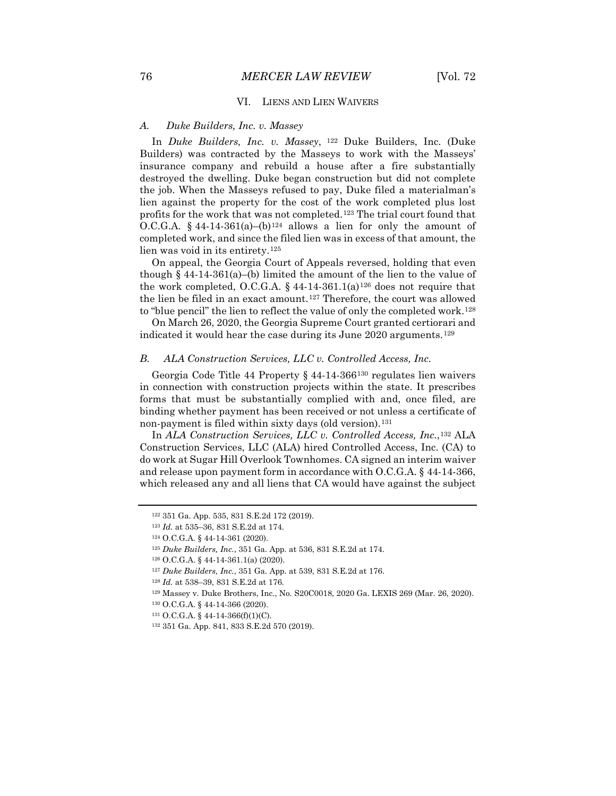#### VI. LIENS AND LIEN WAIVERS

#### *A. Duke Builders, Inc. v. Massey*

In *Duke Builders, Inc. v. Massey*, [122](#page-18-0) Duke Builders, Inc. (Duke Builders) was contracted by the Masseys to work with the Masseys' insurance company and rebuild a house after a fire substantially destroyed the dwelling. Duke began construction but did not complete the job. When the Masseys refused to pay, Duke filed a materialman's lien against the property for the cost of the work completed plus lost profits for the work that was not completed.[123](#page-18-1) The trial court found that O.C.G.A. § 44-14-361(a)–(b)<sup>[124](#page-18-2)</sup> allows a lien for only the amount of completed work, and since the filed lien was in excess of that amount, the lien was void in its entirety.[125](#page-18-3)

On appeal, the Georgia Court of Appeals reversed, holding that even though  $§$  44-14-361(a)–(b) limited the amount of the lien to the value of the work completed, O.C.G.A. § 44-14-361.1(a)<sup>[126](#page-18-4)</sup> does not require that the lien be filed in an exact amount.<sup>[127](#page-18-5)</sup> Therefore, the court was allowed to "blue pencil" the lien to reflect the value of only the completed work.[128](#page-18-6)

On March 26, 2020, the Georgia Supreme Court granted certiorari and indicated it would hear the case during its June 2020 arguments.<sup>[129](#page-18-7)</sup>

#### *B. ALA Construction Services, LLC v. Controlled Access, Inc.*

Georgia Code Title 44 Property § 44-14-366[130](#page-18-8) regulates lien waivers in connection with construction projects within the state. It prescribes forms that must be substantially complied with and, once filed, are binding whether payment has been received or not unless a certificate of non-payment is filed within sixty days (old version).<sup>[131](#page-18-9)</sup>

In *ALA Construction Services, LLC v. Controlled Access, Inc.*,[132](#page-18-10) ALA Construction Services, LLC (ALA) hired Controlled Access, Inc. (CA) to do work at Sugar Hill Overlook Townhomes. CA signed an interim waiver and release upon payment form in accordance with O.C.G.A. § 44-14-366, which released any and all liens that CA would have against the subject

<span id="page-18-8"></span><span id="page-18-7"></span><span id="page-18-6"></span><sup>129</sup> Massey v. Duke Brothers, Inc., No. S20C0018, 2020 Ga. LEXIS 269 (Mar. 26, 2020).

<span id="page-18-0"></span><sup>122</sup> 351 Ga. App. 535, 831 S.E.2d 172 (2019).

<span id="page-18-1"></span><sup>123</sup> *Id.* at 535–36, 831 S.E.2d at 174.

<sup>124</sup> O.C.G.A. § 44-14-361 (2020).

<span id="page-18-4"></span><span id="page-18-3"></span><span id="page-18-2"></span><sup>125</sup> *Duke Builders, Inc.*, 351 Ga. App. at 536, 831 S.E.2d at 174.

<sup>126</sup> O.C.G.A. § 44-14-361.1(a) (2020).

<span id="page-18-5"></span><sup>127</sup> *Duke Builders, Inc.*, 351 Ga. App. at 539, 831 S.E.2d at 176.

<sup>128</sup> *Id.* at 538–39, 831 S.E.2d at 176.

<sup>130</sup> O.C.G.A. § 44-14-366 (2020).

<span id="page-18-10"></span><span id="page-18-9"></span><sup>131</sup> O.C.G.A. § 44-14-366(f)(1)(C).

<sup>132</sup> 351 Ga. App. 841, 833 S.E.2d 570 (2019).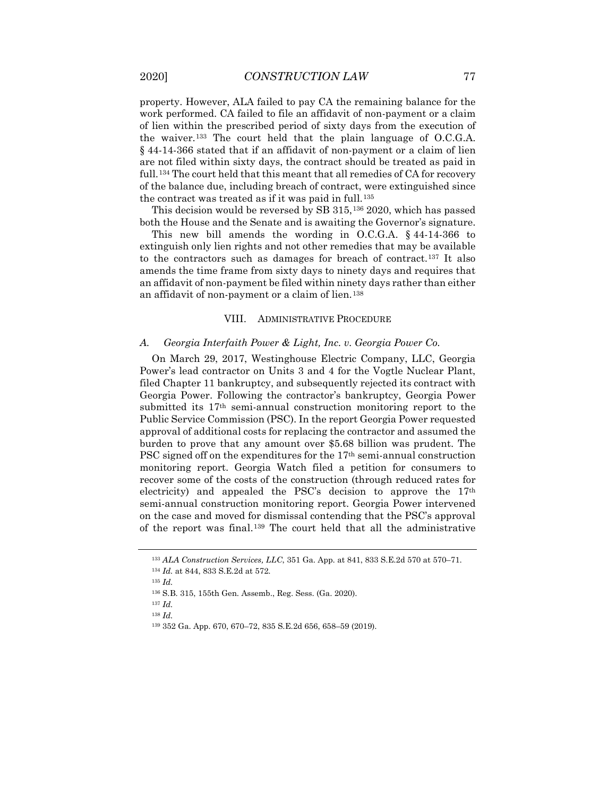property. However, ALA failed to pay CA the remaining balance for the work performed. CA failed to file an affidavit of non-payment or a claim of lien within the prescribed period of sixty days from the execution of the waiver.[133](#page-19-0) The court held that the plain language of O.C.G.A. § 44-14-366 stated that if an affidavit of non-payment or a claim of lien are not filed within sixty days, the contract should be treated as paid in full.<sup>[134](#page-19-1)</sup> The court held that this meant that all remedies of CA for recovery of the balance due, including breach of contract, were extinguished since the contract was treated as if it was paid in full.<sup>[135](#page-19-2)</sup>

This decision would be reversed by SB 315,[136](#page-19-3) 2020, which has passed both the House and the Senate and is awaiting the Governor's signature.

This new bill amends the wording in O.C.G.A. § 44-14-366 to extinguish only lien rights and not other remedies that may be available to the contractors such as damages for breach of contract.[137](#page-19-4) It also amends the time frame from sixty days to ninety days and requires that an affidavit of non-payment be filed within ninety days rather than either an affidavit of non-payment or a claim of lien.<sup>[138](#page-19-5)</sup>

#### VIII. ADMINISTRATIVE PROCEDURE

#### *A. Georgia Interfaith Power & Light, Inc. v. Georgia Power Co.*

On March 29, 2017, Westinghouse Electric Company, LLC, Georgia Power's lead contractor on Units 3 and 4 for the Vogtle Nuclear Plant, filed Chapter 11 bankruptcy, and subsequently rejected its contract with Georgia Power. Following the contractor's bankruptcy, Georgia Power submitted its 17th semi-annual construction monitoring report to the Public Service Commission (PSC). In the report Georgia Power requested approval of additional costs for replacing the contractor and assumed the burden to prove that any amount over \$5.68 billion was prudent. The PSC signed off on the expenditures for the 17th semi-annual construction monitoring report. Georgia Watch filed a petition for consumers to recover some of the costs of the construction (through reduced rates for electricity) and appealed the PSC's decision to approve the  $17<sup>th</sup>$ semi-annual construction monitoring report. Georgia Power intervened on the case and moved for dismissal contending that the PSC's approval of the report was final.[139](#page-19-6) The court held that all the administrative

<sup>138</sup> *Id.*

<sup>133</sup> *ALA Construction Services, LLC*, 351 Ga. App. at 841, 833 S.E.2d 570 at 570–71.

<sup>134</sup> *Id.* at 844, 833 S.E.2d at 572.

<span id="page-19-2"></span><span id="page-19-1"></span><span id="page-19-0"></span><sup>135</sup> *Id.*

<sup>136</sup> S.B. 315, 155th Gen. Assemb., Reg. Sess. (Ga. 2020).

<span id="page-19-6"></span><span id="page-19-5"></span><span id="page-19-4"></span><span id="page-19-3"></span><sup>137</sup> *Id.*

<sup>139</sup> 352 Ga. App. 670, 670–72, 835 S.E.2d 656, 658–59 (2019).